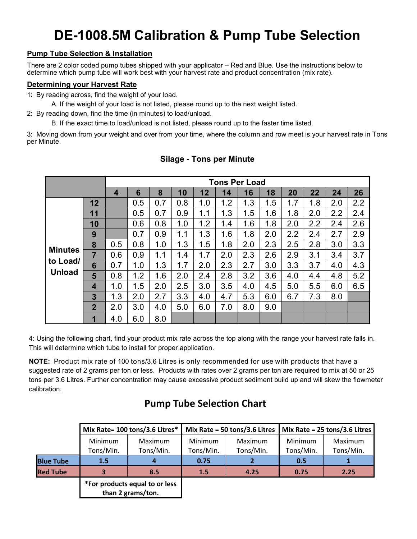# **DE-1008.5M Calibration & Pump Tube Selection**

### **Pump Tube Selection & Installation**

There are 2 color coded pump tubes shipped with your applicator – Red and Blue. Use the instructions below to determine which pump tube will work best with your harvest rate and product concentration (mix rate).

#### **Determining your Harvest Rate**

1: By reading across, find the weight of your load.

A. If the weight of your load is not listed, please round up to the next weight listed.

2: By reading down, find the time (in minutes) to load/unload.

B. If the exact time to load/unload is not listed, please round up to the faster time listed.

3: Moving down from your weight and over from your time, where the column and row meet is your harvest rate in Tons per Minute.

|                |                | <b>Tons Per Load</b> |     |     |     |     |     |     |     |     |     |     |     |
|----------------|----------------|----------------------|-----|-----|-----|-----|-----|-----|-----|-----|-----|-----|-----|
|                |                | $\overline{4}$       | 6   | 8   | 10  | 12  | 14  | 16  | 18  | 20  | 22  | 24  | 26  |
|                | 12             |                      | 0.5 | 0.7 | 0.8 | 1.0 | 1.2 | 1.3 | 1.5 | 1.7 | 1.8 | 2.0 | 2.2 |
|                | 11             |                      | 0.5 | 0.7 | 0.9 | 1.1 | 1.3 | 1.5 | 1.6 | 1.8 | 2.0 | 2.2 | 2.4 |
|                | 10             |                      | 0.6 | 0.8 | 1.0 | 1.2 | 1.4 | 1.6 | 1.8 | 2.0 | 2.2 | 2.4 | 2.6 |
|                | 9              |                      | 0.7 | 0.9 | 1.1 | 1.3 | 1.6 | 1.8 | 2.0 | 2.2 | 2.4 | 2.7 | 2.9 |
|                | 8              | 0.5                  | 0.8 | 1.0 | 1.3 | 1.5 | 1.8 | 2.0 | 2.3 | 2.5 | 2.8 | 3.0 | 3.3 |
| <b>Minutes</b> | $\overline{7}$ | 0.6                  | 0.9 | 1.1 | 1.4 | 1.7 | 2.0 | 2.3 | 2.6 | 2.9 | 3.1 | 3.4 | 3.7 |
| to Load/       | 6              | 0.7                  | 1.0 | 1.3 | 1.7 | 2.0 | 2.3 | 2.7 | 3.0 | 3.3 | 3.7 | 4.0 | 4.3 |
| <b>Unload</b>  | 5              | 0.8                  | 1.2 | 1.6 | 2.0 | 2.4 | 2.8 | 3.2 | 3.6 | 4.0 | 4.4 | 4.8 | 5.2 |
|                | 4              | 1.0                  | 1.5 | 2.0 | 2.5 | 3.0 | 3.5 | 4.0 | 4.5 | 5.0 | 5.5 | 6.0 | 6.5 |
|                | 3              | 1.3                  | 2.0 | 2.7 | 3.3 | 4.0 | 4.7 | 5.3 | 6.0 | 6.7 | 7.3 | 8.0 |     |
|                | $\overline{2}$ | 2.0                  | 3.0 | 4.0 | 5.0 | 6.0 | 7.0 | 8.0 | 9.0 |     |     |     |     |
|                | 1              | 4.0                  | 6.0 | 8.0 |     |     |     |     |     |     |     |     |     |

### **Silage - Tons per Minute**

4: Using the following chart, find your product mix rate across the top along with the range your harvest rate falls in. This will determine which tube to install for proper application.

**NOTE:** Product mix rate of 100 tons/3.6 Litres is only recommended for use with products that have a suggested rate of 2 grams per ton or less. Products with rates over 2 grams per ton are required to mix at 50 or 25 tons per 3.6 Litres. Further concentration may cause excessive product sediment build up and will skew the flowmeter calibration.

# **Pump Tube Selection Chart**

|                  |                      | Mix Rate= 100 tons/3.6 Litres*                      |                      | Mix Rate = 50 tons/3.6 Litres | Mix Rate = 25 tons/3.6 Litres |                      |  |
|------------------|----------------------|-----------------------------------------------------|----------------------|-------------------------------|-------------------------------|----------------------|--|
|                  | Minimum<br>Tons/Min. | Maximum<br>Tons/Min.                                | Minimum<br>Tons/Min. | Maximum<br>Tons/Min.          | Minimum<br>Tons/Min.          | Maximum<br>Tons/Min. |  |
| <b>Blue Tube</b> | 1.5                  | 4                                                   | 0.75                 |                               | 0.5                           |                      |  |
| <b>Red Tube</b>  |                      | 8.5                                                 | 1.5                  | 4.25                          | 0.75                          | 2.25                 |  |
|                  |                      | *For products equal to or less<br>than 2 grams/ton. |                      |                               |                               |                      |  |